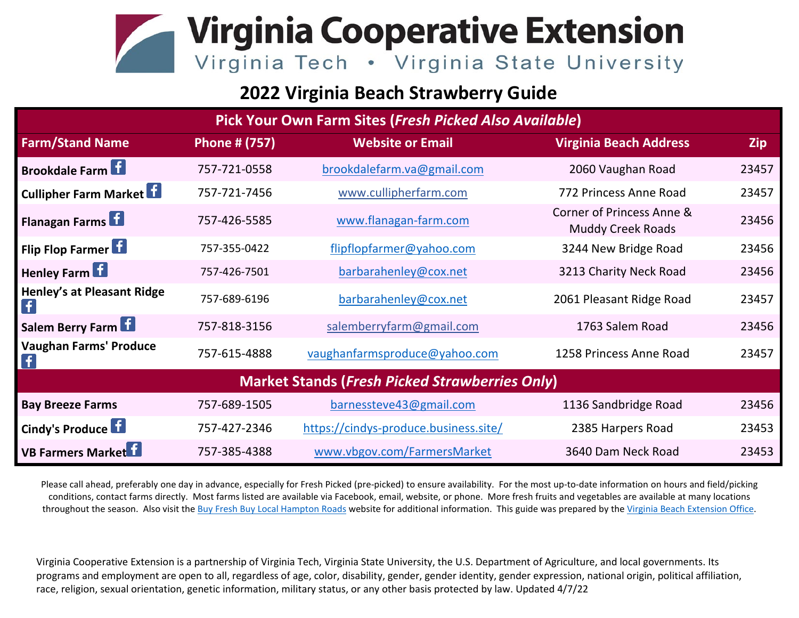## **Virginia Cooperative Extension** Virginia Tech . Virginia State University

## **2022 Virginia Beach Strawberry Guide**

| Pick Your Own Farm Sites (Fresh Picked Also Available) |                      |                                       |                                                       |            |
|--------------------------------------------------------|----------------------|---------------------------------------|-------------------------------------------------------|------------|
| <b>Farm/Stand Name</b>                                 | <b>Phone # (757)</b> | <b>Website or Email</b>               | <b>Virginia Beach Address</b>                         | <b>Zip</b> |
| <b>Brookdale Farm</b>                                  | 757-721-0558         | brookdalefarm.va@gmail.com            | 2060 Vaughan Road                                     | 23457      |
| <b>Cullipher Farm Market</b>                           | 757-721-7456         | www.cullipherfarm.com                 | 772 Princess Anne Road                                | 23457      |
| <b>Flanagan Farms</b>                                  | 757-426-5585         | www.flanagan-farm.com                 | Corner of Princess Anne &<br><b>Muddy Creek Roads</b> | 23456      |
| Flip Flop Farmer                                       | 757-355-0422         | flipflopfarmer@yahoo.com              | 3244 New Bridge Road                                  | 23456      |
| <b>Henley Farm</b>                                     | 757-426-7501         | barbarahenley@cox.net                 | 3213 Charity Neck Road                                | 23456      |
| <b>Henley's at Pleasant Ridge</b><br>f.                | 757-689-6196         | barbarahenley@cox.net                 | 2061 Pleasant Ridge Road                              | 23457      |
| Salem Berry Farm                                       | 757-818-3156         | salemberryfarm@gmail.com              | 1763 Salem Road                                       | 23456      |
| <b>Vaughan Farms' Produce</b>                          | 757-615-4888         | vaughanfarmsproduce@yahoo.com         | 1258 Princess Anne Road                               | 23457      |
| <b>Market Stands (Fresh Picked Strawberries Only)</b>  |                      |                                       |                                                       |            |
| <b>Bay Breeze Farms</b>                                | 757-689-1505         | barnessteve43@gmail.com               | 1136 Sandbridge Road                                  | 23456      |
| Cindy's Produce                                        | 757-427-2346         | https://cindys-produce.business.site/ | 2385 Harpers Road                                     | 23453      |
| <b>VB Farmers Market</b>                               | 757-385-4388         | www.vbgov.com/FarmersMarket           | 3640 Dam Neck Road                                    | 23453      |

Please call ahead, preferably one day in advance, especially for Fresh Picked (pre-picked) to ensure availability. For the most up-to-date information on hours and field/picking conditions, contact farms directly. Most farms listed are available via Facebook, email, website, or phone. More fresh fruits and vegetables are available at many locations throughout the season. Also visit the [Buy Fresh Buy Local Hampton Roads](https://www.buylocalhamptonroads.org/) website for additional information. This guide was prepared by th[e Virginia Beach Extension Office.](https://virginia-beach.ext.vt.edu/)

Virginia Cooperative Extension is a partnership of Virginia Tech, Virginia State University, the U.S. Department of Agriculture, and local governments. Its programs and employment are open to all, regardless of age, color, disability, gender, gender identity, gender expression, national origin, political affiliation, race, religion, sexual orientation, genetic information, military status, or any other basis protected by law. Updated 4/7/22